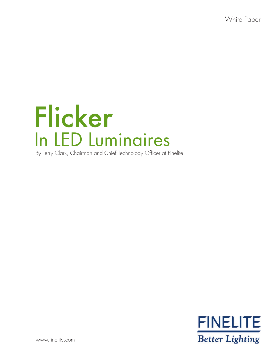White Paper

# In LED Luminaires Flicker By Terry Clark, Chairman and Chief Technology Officer at Finelite



www.finelite.com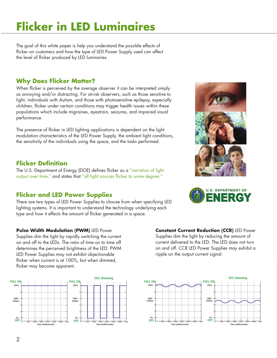### **Flicker in LED Luminaires**

The goal of this white paper is help you understand the possible effects of flicker on customers and how the type of LED Power Supply used can affect the level of flicker produced by LED luminaires.

### **Why Does Flicker Matter?**

When flicker is perceived by the average observer it can be interpreted simply as annoying and/or distracting. For at-risk observers, such as those sensitive to light, individuals with Autism, and those with photosensitive epilepsy, especially children, flicker under certain conditions may trigger health issues within these populations which include migraines, eyestrain, seizures, and impaired visual performance.

The presence of flicker in LED lighting applications is dependent on the light modulation characteristics of the LED Power Supply, the ambient light conditions, the sensitivity of the individuals using the space, and the tasks performed.

#### **Flicker Definition**

The U.S. Department of Energy (DOE) defines flicker as a "variation of light output over time," and states that "all light sources flicker to some degree."

### **Flicker and LED Power Supplies**

There are two types of LED Power Supplies to choose from when specifying LED lighting systems. It is important to understand the technology underlying each type and how it effects the amount of flicker generated in a space.

#### **Pulse Width Modulation (PWM)** LED Power

Supplies dim the light by rapidly switching the current on and off to the LEDs. The ratio of time on to time off determines the perceived brightness of the LED. PWM LED Power Supplies may not exhibit objectionable flicker when current is at 100%, but when dimmed, flicker may become apparent.



**Constant Current Reduction (CCR)** LED Power Supplies dim the light by reducing the amount of current delivered to the LED. The LED does not turn on and off. CCR LED Power Supplies may exhibit a ripple on the output current signal.





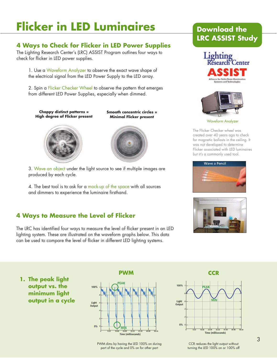## **Flicker in LED Luminaires**

### **4 Ways to Check for Flicker in LED Power Supplies**

The Lighting Research Center's (LRC) ASSIST Program outlines four ways to check for flicker in LED power supplies.

1. Use a Waveform Analyzer to observe the exact wave shape of the electrical signal from the LED Power Supply to the LED array.

2. Spin a Flicker Checker Wheel to observe the pattern that emerges from different LED Power Supplies, especially when dimmed.

**Choppy distinct patterns = High degree of Flicker present**

**Smooth concentric circles = Minimal Flicker present**





3. Wave an object under the light source to see if multiple images are produced by each cycle.

4. The best tool is to ask for a mock-up of the space with all sources and dimmers to experience the luminaire firsthand.

### **4 Ways to Measure the Level of Flicker**

The LRC has identified four ways to measure the level of flicker present in an LED lighting system. These are illustrated on the waveform graphs below. This data can be used to compare the level of flicker in different LED lighting systems.

### **Download the [LRC ASSIST Study](www.lrc.rpi.edu/programs/solidstate/assist/pdf/AR-Flicker.pdf)**





Waveform Analyzer

The Flicker Checker wheel was created over 40 years ago to check for magnetic ballasts in the ceiling. It was not developed to determine Flicker associated with LED luminaires but it's a commonly used tool.





**1. The peak light output vs. the minimum light output in a cycle**



PWM dims by having the LED 100% on during part of the cycle and 0% on for other part